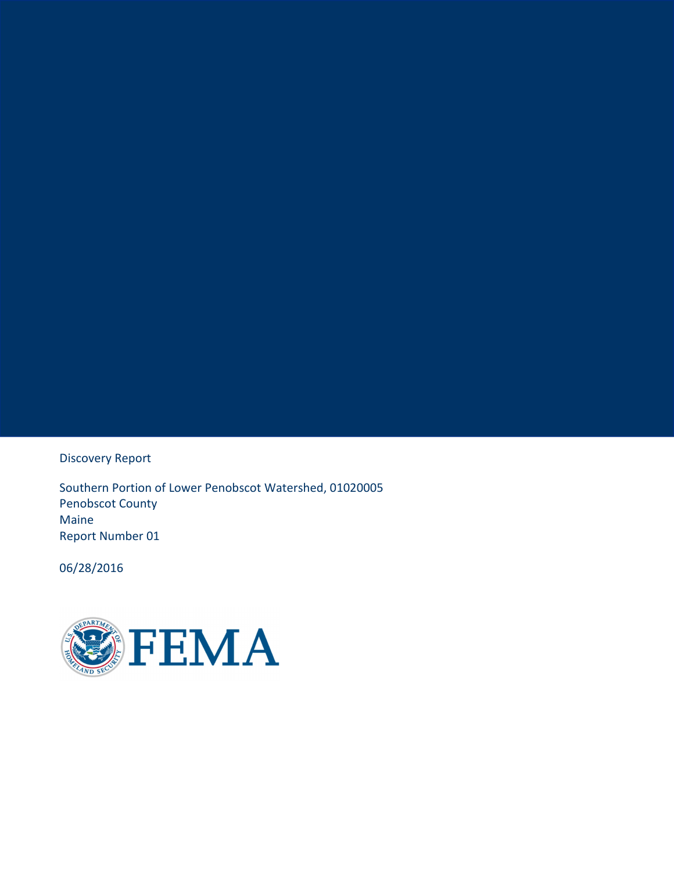Discovery Report

Southern Portion of Lower Penobscot Watershed, 01020005 Penobscot County Maine Report Number 01

06/28/2016

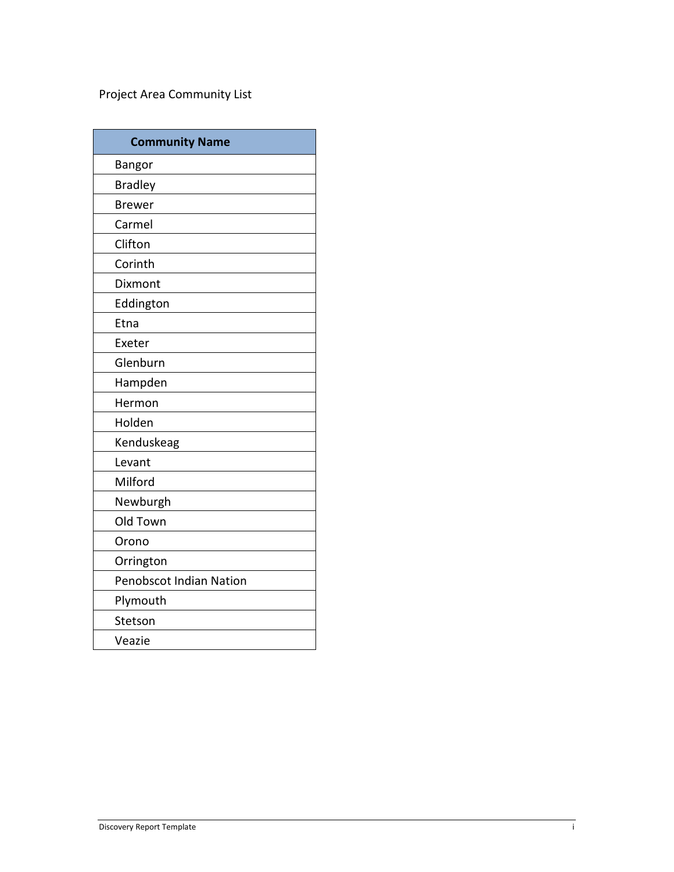# Project Area Community List

| <b>Community Name</b>   |
|-------------------------|
| <b>Bangor</b>           |
| <b>Bradley</b>          |
| <b>Brewer</b>           |
| Carmel                  |
| Clifton                 |
| Corinth                 |
| <b>Dixmont</b>          |
| Eddington               |
| Etna                    |
| Exeter                  |
| Glenburn                |
| Hampden                 |
| Hermon                  |
| Holden                  |
| Kenduskeag              |
| Levant                  |
| Milford                 |
| Newburgh                |
| Old Town                |
| Orono                   |
| Orrington               |
| Penobscot Indian Nation |
| Plymouth                |
| Stetson                 |
| Veazie                  |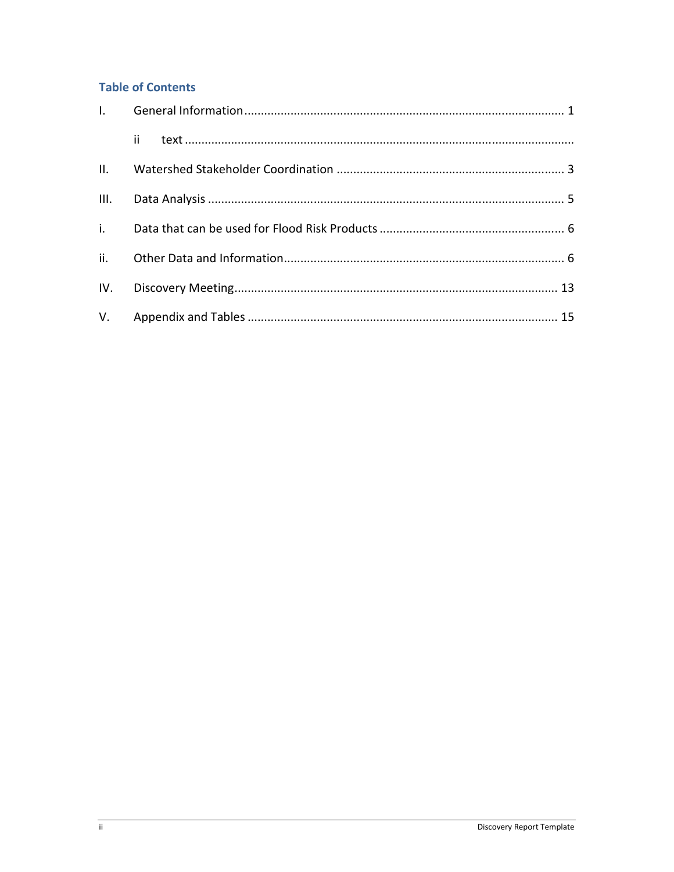# **Table of Contents**

| $\begin{minipage}{0.9\linewidth} \emph{ii} \emph{1} \emph{1} \emph{2} \emph{2} \emph{3} \emph{4} \emph{5} \emph{6} \emph{6} \emph{7} \emph{7} \emph{8} \emph{8} \emph{9} \emph{1} \emph{1} \emph{1} \emph{1} \emph{1} \emph{1} \emph{1} \emph{1} \emph{1} \emph{1} \emph{1} \emph{1} \emph{1} \emph{1} \emph{1} \emph{1} \emph{1} \emph{1} \emph{1} \emph$ |  |
|------------------------------------------------------------------------------------------------------------------------------------------------------------------------------------------------------------------------------------------------------------------------------------------------------------------------------------------------------------|--|
|                                                                                                                                                                                                                                                                                                                                                            |  |
|                                                                                                                                                                                                                                                                                                                                                            |  |
|                                                                                                                                                                                                                                                                                                                                                            |  |
|                                                                                                                                                                                                                                                                                                                                                            |  |
|                                                                                                                                                                                                                                                                                                                                                            |  |
|                                                                                                                                                                                                                                                                                                                                                            |  |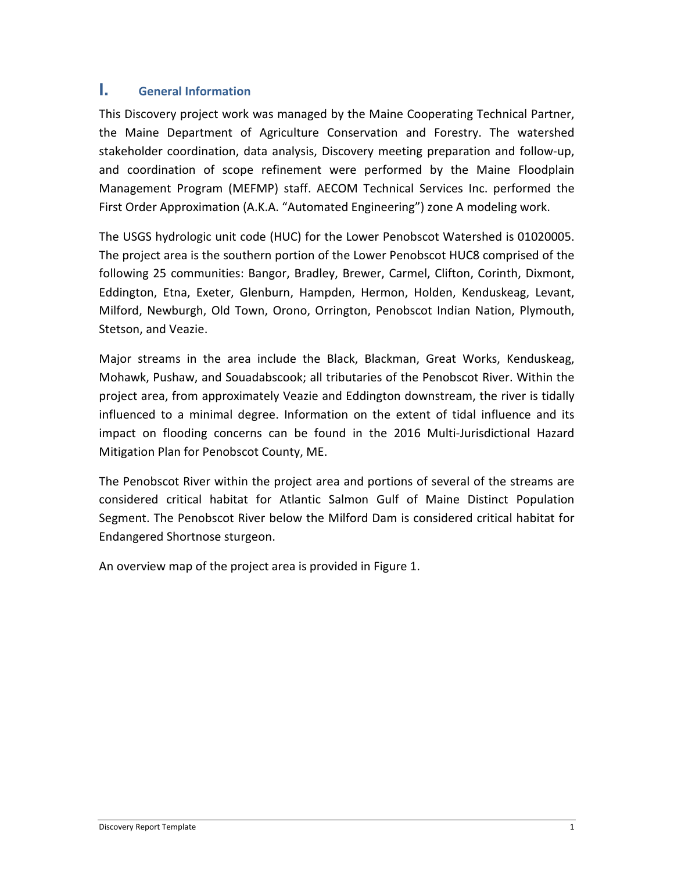# **I. General Information**

This Discovery project work was managed by the Maine Cooperating Technical Partner, the Maine Department of Agriculture Conservation and Forestry. The watershed stakeholder coordination, data analysis, Discovery meeting preparation and follow-up, and coordination of scope refinement were performed by the Maine Floodplain Management Program (MEFMP) staff. AECOM Technical Services Inc. performed the First Order Approximation (A.K.A. "Automated Engineering") zone A modeling work.

The USGS hydrologic unit code (HUC) for the Lower Penobscot Watershed is 01020005. The project area is the southern portion of the Lower Penobscot HUC8 comprised of the following 25 communities: Bangor, Bradley, Brewer, Carmel, Clifton, Corinth, Dixmont, Eddington, Etna, Exeter, Glenburn, Hampden, Hermon, Holden, Kenduskeag, Levant, Milford, Newburgh, Old Town, Orono, Orrington, Penobscot Indian Nation, Plymouth, Stetson, and Veazie.

Major streams in the area include the Black, Blackman, Great Works, Kenduskeag, Mohawk, Pushaw, and Souadabscook; all tributaries of the Penobscot River. Within the project area, from approximately Veazie and Eddington downstream, the river is tidally influenced to a minimal degree. Information on the extent of tidal influence and its impact on flooding concerns can be found in the 2016 Multi-Jurisdictional Hazard Mitigation Plan for Penobscot County, ME.

The Penobscot River within the project area and portions of several of the streams are considered critical habitat for Atlantic Salmon Gulf of Maine Distinct Population Segment. The Penobscot River below the Milford Dam is considered critical habitat for Endangered Shortnose sturgeon.

An overview map of the project area is provided in Figure 1.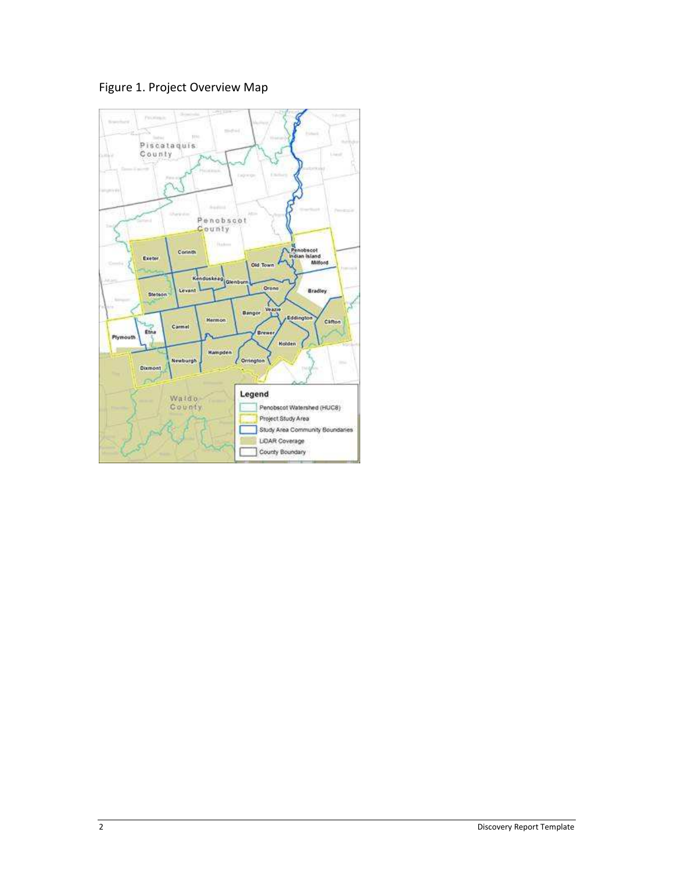Figure 1. Project Overview Map

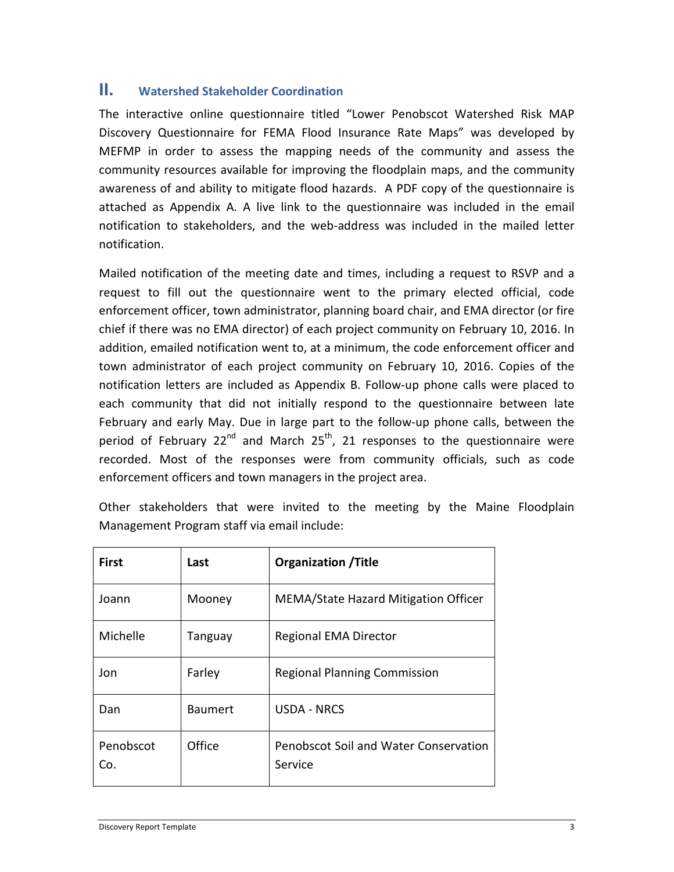# **II. Watershed Stakeholder Coordination**

The interactive online questionnaire titled "Lower Penobscot Watershed Risk MAP Discovery Questionnaire for FEMA Flood Insurance Rate Maps" was developed by MEFMP in order to assess the mapping needs of the community and assess the community resources available for improving the floodplain maps, and the community awareness of and ability to mitigate flood hazards. A PDF copy of the questionnaire is attached as Appendix A. A live link to the questionnaire was included in the email notification to stakeholders, and the web-address was included in the mailed letter notification.

Mailed notification of the meeting date and times, including a request to RSVP and a request to fill out the questionnaire went to the primary elected official, code enforcement officer, town administrator, planning board chair, and EMA director (or fire chief if there was no EMA director) of each project community on February 10, 2016. In addition, emailed notification went to, at a minimum, the code enforcement officer and town administrator of each project community on February 10, 2016. Copies of the notification letters are included as Appendix B. Follow-up phone calls were placed to each community that did not initially respond to the questionnaire between late February and early May. Due in large part to the follow-up phone calls, between the period of February 22<sup>nd</sup> and March 25<sup>th</sup>, 21 responses to the questionnaire were recorded. Most of the responses were from community officials, such as code enforcement officers and town managers in the project area.

Other stakeholders that were invited to the meeting by the Maine Floodplain Management Program staff via email include:

| <b>First</b>     | Last           | <b>Organization / Title</b>                      |
|------------------|----------------|--------------------------------------------------|
| Joann            | Mooney         | MEMA/State Hazard Mitigation Officer             |
| Michelle         | Tanguay        | <b>Regional EMA Director</b>                     |
| Jon              | Farley         | <b>Regional Planning Commission</b>              |
| Dan              | <b>Baumert</b> | <b>USDA - NRCS</b>                               |
| Penobscot<br>Co. | Office         | Penobscot Soil and Water Conservation<br>Service |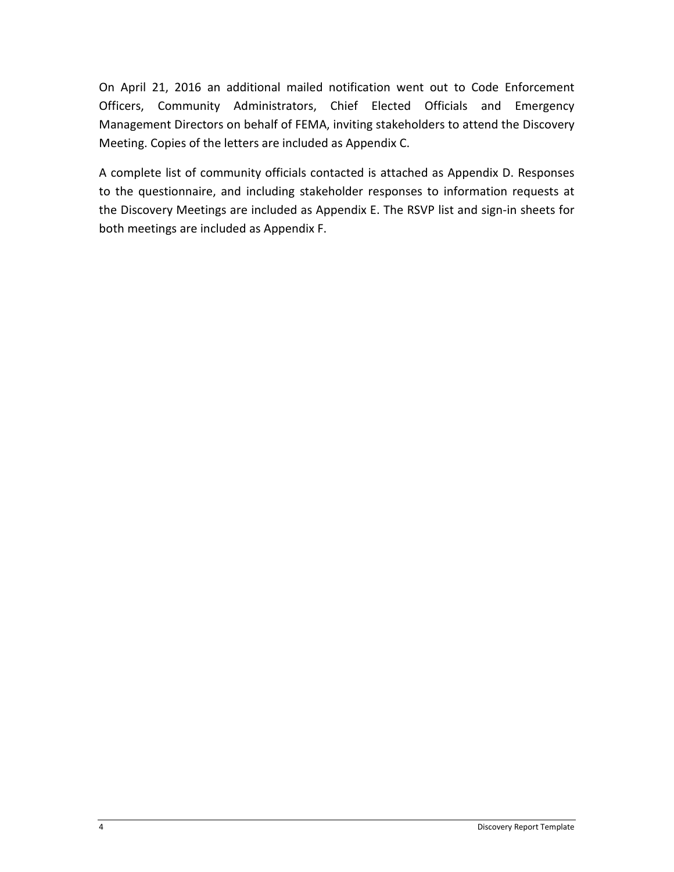On April 21, 2016 an additional mailed notification went out to Code Enforcement Officers, Community Administrators, Chief Elected Officials and Emergency Management Directors on behalf of FEMA, inviting stakeholders to attend the Discovery Meeting. Copies of the letters are included as Appendix C.

A complete list of community officials contacted is attached as Appendix D. Responses to the questionnaire, and including stakeholder responses to information requests at the Discovery Meetings are included as Appendix E. The RSVP list and sign-in sheets for both meetings are included as Appendix F.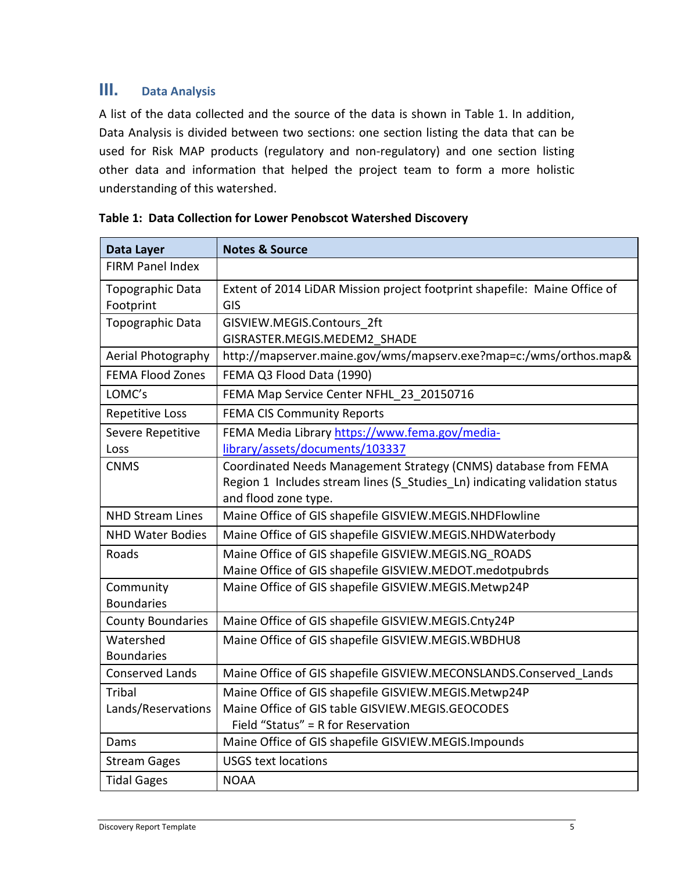# **III. Data Analysis**

A list of the data collected and the source of the data is shown in Table 1. In addition, Data Analysis is divided between two sections: one section listing the data that can be used for Risk MAP products (regulatory and non-regulatory) and one section listing other data and information that helped the project team to form a more holistic understanding of this watershed.

| Data Layer               | <b>Notes &amp; Source</b>                                                  |
|--------------------------|----------------------------------------------------------------------------|
| <b>FIRM Panel Index</b>  |                                                                            |
| Topographic Data         | Extent of 2014 LiDAR Mission project footprint shapefile: Maine Office of  |
| Footprint                | GIS                                                                        |
| Topographic Data         | GISVIEW.MEGIS.Contours 2ft                                                 |
|                          | GISRASTER.MEGIS.MEDEM2 SHADE                                               |
| Aerial Photography       | http://mapserver.maine.gov/wms/mapserv.exe?map=c:/wms/orthos.map&          |
| <b>FEMA Flood Zones</b>  | FEMA Q3 Flood Data (1990)                                                  |
| LOMC's                   | FEMA Map Service Center NFHL 23 20150716                                   |
| <b>Repetitive Loss</b>   | <b>FEMA CIS Community Reports</b>                                          |
| Severe Repetitive        | FEMA Media Library https://www.fema.gov/media-                             |
| Loss                     | library/assets/documents/103337                                            |
| <b>CNMS</b>              | Coordinated Needs Management Strategy (CNMS) database from FEMA            |
|                          | Region 1 Includes stream lines (S Studies Ln) indicating validation status |
|                          | and flood zone type.                                                       |
| <b>NHD Stream Lines</b>  | Maine Office of GIS shapefile GISVIEW.MEGIS.NHDFlowline                    |
| <b>NHD Water Bodies</b>  | Maine Office of GIS shapefile GISVIEW.MEGIS.NHDWaterbody                   |
| Roads                    | Maine Office of GIS shapefile GISVIEW.MEGIS.NG ROADS                       |
|                          | Maine Office of GIS shapefile GISVIEW.MEDOT.medotpubrds                    |
| Community                | Maine Office of GIS shapefile GISVIEW.MEGIS.Metwp24P                       |
| <b>Boundaries</b>        |                                                                            |
| <b>County Boundaries</b> | Maine Office of GIS shapefile GISVIEW.MEGIS.Cnty24P                        |
| Watershed                | Maine Office of GIS shapefile GISVIEW.MEGIS.WBDHU8                         |
| <b>Boundaries</b>        |                                                                            |
| <b>Conserved Lands</b>   | Maine Office of GIS shapefile GISVIEW.MECONSLANDS.Conserved Lands          |
| <b>Tribal</b>            | Maine Office of GIS shapefile GISVIEW.MEGIS.Metwp24P                       |
| Lands/Reservations       | Maine Office of GIS table GISVIEW.MEGIS.GEOCODES                           |
|                          | Field "Status" = R for Reservation                                         |
| Dams                     | Maine Office of GIS shapefile GISVIEW.MEGIS.Impounds                       |
| <b>Stream Gages</b>      | <b>USGS text locations</b>                                                 |
| <b>Tidal Gages</b>       | <b>NOAA</b>                                                                |

| Table 1: Data Collection for Lower Penobscot Watershed Discovery |  |
|------------------------------------------------------------------|--|
|------------------------------------------------------------------|--|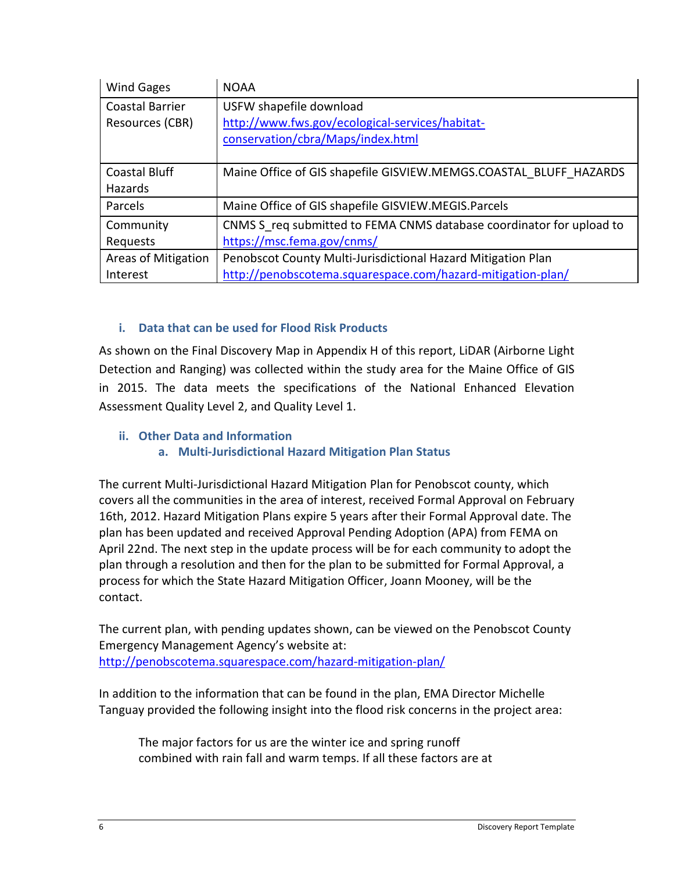| Wind Gages                                | <b>NOAA</b>                                                                                                                 |
|-------------------------------------------|-----------------------------------------------------------------------------------------------------------------------------|
| <b>Coastal Barrier</b><br>Resources (CBR) | USFW shapefile download<br>http://www.fws.gov/ecological-services/habitat-<br>conservation/cbra/Maps/index.html             |
|                                           |                                                                                                                             |
| <b>Coastal Bluff</b><br>Hazards           | Maine Office of GIS shapefile GISVIEW.MEMGS.COASTAL BLUFF HAZARDS                                                           |
| Parcels                                   | Maine Office of GIS shapefile GISVIEW.MEGIS.Parcels                                                                         |
| Community<br>Requests                     | CNMS S req submitted to FEMA CNMS database coordinator for upload to<br>https://msc.fema.gov/cnms/                          |
| Areas of Mitigation<br>Interest           | Penobscot County Multi-Jurisdictional Hazard Mitigation Plan<br>http://penobscotema.squarespace.com/hazard-mitigation-plan/ |

## **i. Data that can be used for Flood Risk Products**

As shown on the Final Discovery Map in Appendix H of this report, LiDAR (Airborne Light Detection and Ranging) was collected within the study area for the Maine Office of GIS in 2015. The data meets the specifications of the National Enhanced Elevation Assessment Quality Level 2, and Quality Level 1.

**ii. Other Data and Information** 

## **a. Multi-Jurisdictional Hazard Mitigation Plan Status**

The current Multi-Jurisdictional Hazard Mitigation Plan for Penobscot county, which covers all the communities in the area of interest, received Formal Approval on February 16th, 2012. Hazard Mitigation Plans expire 5 years after their Formal Approval date. The plan has been updated and received Approval Pending Adoption (APA) from FEMA on April 22nd. The next step in the update process will be for each community to adopt the plan through a resolution and then for the plan to be submitted for Formal Approval, a process for which the State Hazard Mitigation Officer, Joann Mooney, will be the contact.

The current plan, with pending updates shown, can be viewed on the Penobscot County Emergency Management Agency's website at: http://penobscotema.squarespace.com/hazard-mitigation-plan/

In addition to the information that can be found in the plan, EMA Director Michelle Tanguay provided the following insight into the flood risk concerns in the project area:

The major factors for us are the winter ice and spring runoff combined with rain fall and warm temps. If all these factors are at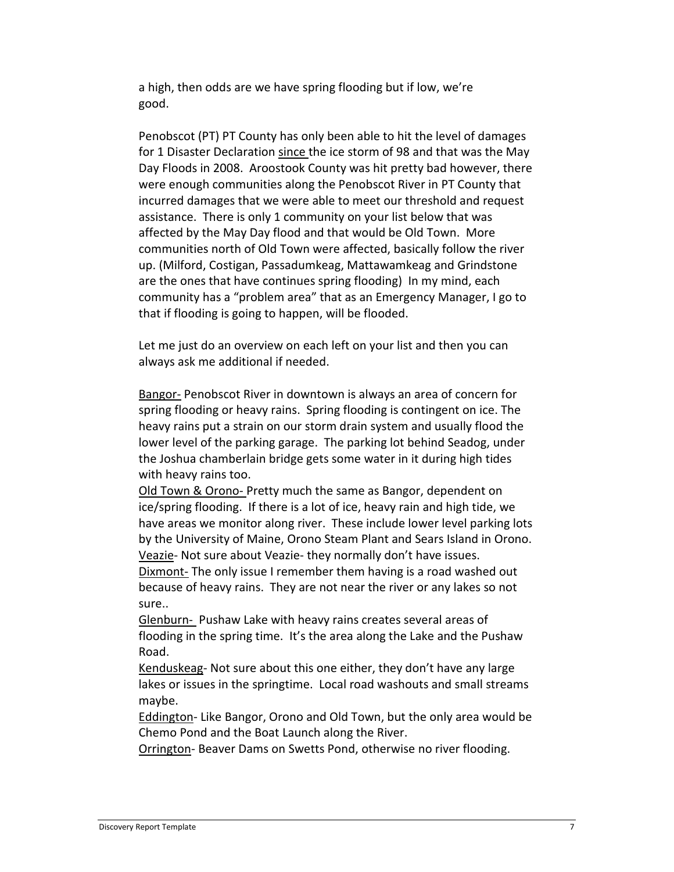a high, then odds are we have spring flooding but if low, we're good.

Penobscot (PT) PT County has only been able to hit the level of damages for 1 Disaster Declaration since the ice storm of 98 and that was the May Day Floods in 2008. Aroostook County was hit pretty bad however, there were enough communities along the Penobscot River in PT County that incurred damages that we were able to meet our threshold and request assistance. There is only 1 community on your list below that was affected by the May Day flood and that would be Old Town. More communities north of Old Town were affected, basically follow the river up. (Milford, Costigan, Passadumkeag, Mattawamkeag and Grindstone are the ones that have continues spring flooding) In my mind, each community has a "problem area" that as an Emergency Manager, I go to that if flooding is going to happen, will be flooded.

Let me just do an overview on each left on your list and then you can always ask me additional if needed.

Bangor- Penobscot River in downtown is always an area of concern for spring flooding or heavy rains. Spring flooding is contingent on ice. The heavy rains put a strain on our storm drain system and usually flood the lower level of the parking garage. The parking lot behind Seadog, under the Joshua chamberlain bridge gets some water in it during high tides with heavy rains too.

Old Town & Orono- Pretty much the same as Bangor, dependent on ice/spring flooding. If there is a lot of ice, heavy rain and high tide, we have areas we monitor along river. These include lower level parking lots by the University of Maine, Orono Steam Plant and Sears Island in Orono. Veazie- Not sure about Veazie- they normally don't have issues.

Dixmont- The only issue I remember them having is a road washed out because of heavy rains. They are not near the river or any lakes so not sure..

Glenburn- Pushaw Lake with heavy rains creates several areas of flooding in the spring time. It's the area along the Lake and the Pushaw Road.

Kenduskeag- Not sure about this one either, they don't have any large lakes or issues in the springtime. Local road washouts and small streams maybe.

Eddington- Like Bangor, Orono and Old Town, but the only area would be Chemo Pond and the Boat Launch along the River.

Orrington- Beaver Dams on Swetts Pond, otherwise no river flooding.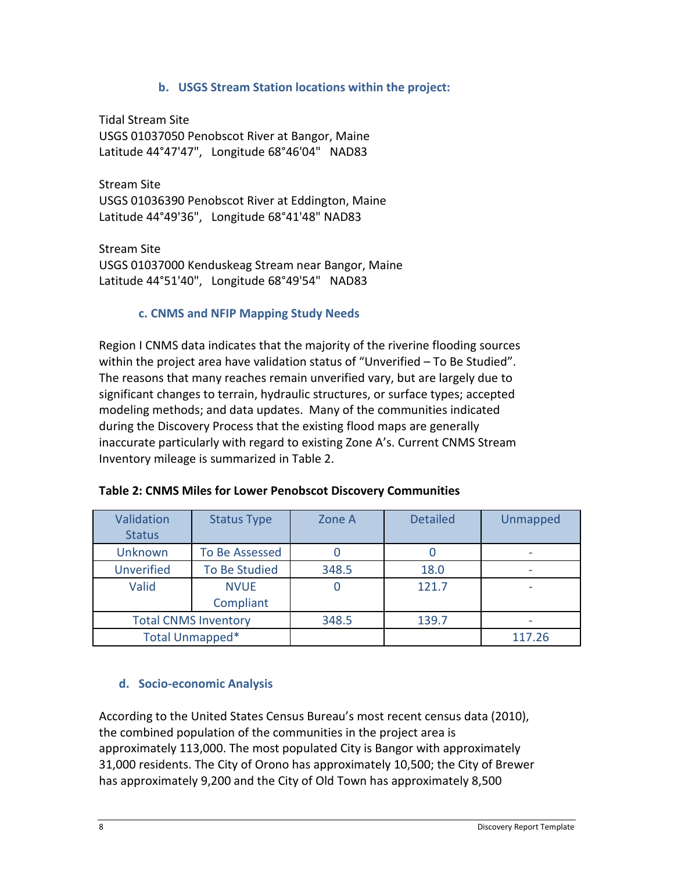#### **b. USGS Stream Station locations within the project:**

Tidal Stream Site USGS 01037050 Penobscot River at Bangor, Maine Latitude 44°47'47", Longitude 68°46'04" NAD83

Stream Site USGS 01036390 Penobscot River at Eddington, Maine Latitude 44°49'36", Longitude 68°41'48" NAD83

Stream Site USGS 01037000 Kenduskeag Stream near Bangor, Maine Latitude 44°51'40", Longitude 68°49'54" NAD83

#### **c. CNMS and NFIP Mapping Study Needs**

Region I CNMS data indicates that the majority of the riverine flooding sources within the project area have validation status of "Unverified – To Be Studied". The reasons that many reaches remain unverified vary, but are largely due to significant changes to terrain, hydraulic structures, or surface types; accepted modeling methods; and data updates. Many of the communities indicated during the Discovery Process that the existing flood maps are generally inaccurate particularly with regard to existing Zone A's. Current CNMS Stream Inventory mileage is summarized in Table 2.

| Validation<br><b>Status</b> | <b>Status Type</b>     | Zone A | <b>Detailed</b> | <b>Unmapped</b> |
|-----------------------------|------------------------|--------|-----------------|-----------------|
| <b>Unknown</b>              | To Be Assessed         |        |                 |                 |
| <b>Unverified</b>           | To Be Studied          | 348.5  | 18.0            |                 |
| Valid                       | <b>NVUE</b>            |        | 121.7           |                 |
|                             | Compliant              |        |                 |                 |
| <b>Total CNMS Inventory</b> |                        | 348.5  | 139.7           |                 |
|                             | <b>Total Unmapped*</b> |        |                 | 117.26          |

| Table 2: CNMS Miles for Lower Penobscot Discovery Communities |
|---------------------------------------------------------------|
|                                                               |

## **d. Socio-economic Analysis**

According to the United States Census Bureau's most recent census data (2010), the combined population of the communities in the project area is approximately 113,000. The most populated City is Bangor with approximately 31,000 residents. The City of Orono has approximately 10,500; the City of Brewer has approximately 9,200 and the City of Old Town has approximately 8,500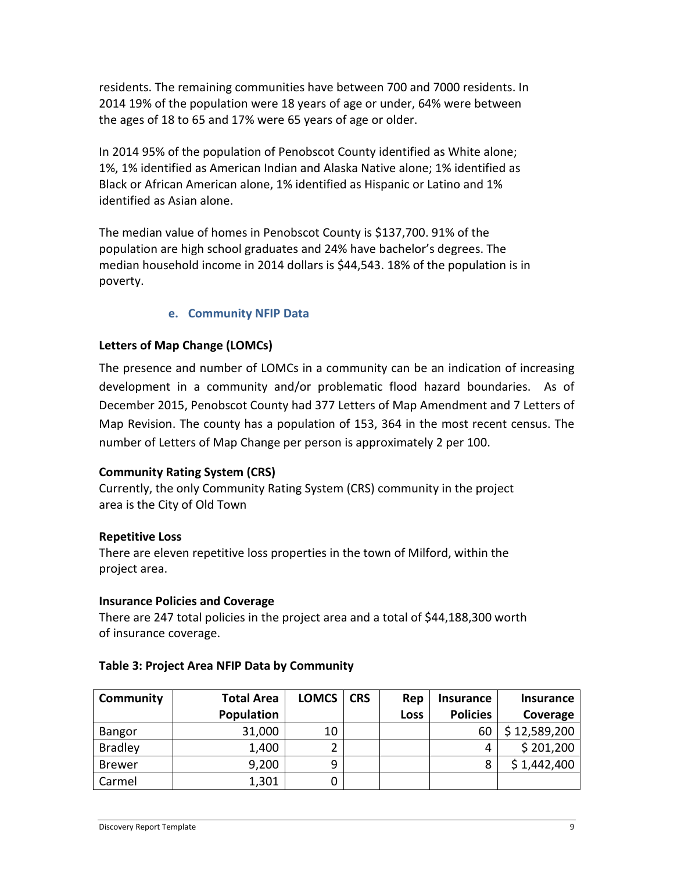residents. The remaining communities have between 700 and 7000 residents. In 2014 19% of the population were 18 years of age or under, 64% were between the ages of 18 to 65 and 17% were 65 years of age or older.

In 2014 95% of the population of Penobscot County identified as White alone; 1%, 1% identified as American Indian and Alaska Native alone; 1% identified as Black or African American alone, 1% identified as Hispanic or Latino and 1% identified as Asian alone.

The median value of homes in Penobscot County is \$137,700. 91% of the population are high school graduates and 24% have bachelor's degrees. The median household income in 2014 dollars is \$44,543. 18% of the population is in poverty.

## **e. Community NFIP Data**

## **Letters of Map Change (LOMCs)**

The presence and number of LOMCs in a community can be an indication of increasing development in a community and/or problematic flood hazard boundaries. As of December 2015, Penobscot County had 377 Letters of Map Amendment and 7 Letters of Map Revision. The county has a population of 153, 364 in the most recent census. The number of Letters of Map Change per person is approximately 2 per 100.

## **Community Rating System (CRS)**

Currently, the only Community Rating System (CRS) community in the project area is the City of Old Town

## **Repetitive Loss**

There are eleven repetitive loss properties in the town of Milford, within the project area.

#### **Insurance Policies and Coverage**

There are 247 total policies in the project area and a total of \$44,188,300 worth of insurance coverage.

| Community      | <b>Total Area</b> | <b>LOMCS</b> | <b>CRS</b> | Rep         | <b>Insurance</b> | <b>Insurance</b> |
|----------------|-------------------|--------------|------------|-------------|------------------|------------------|
|                | Population        |              |            | <b>Loss</b> | <b>Policies</b>  | Coverage         |
| Bangor         | 31,000            | 10           |            |             | 60               | \$12,589,200     |
| <b>Bradley</b> | 1,400             |              |            |             | 4                | \$201,200        |
| <b>Brewer</b>  | 9,200             | 9            |            |             | 8                | \$1,442,400      |
| Carmel         | 1,301             |              |            |             |                  |                  |

## **Table 3: Project Area NFIP Data by Community**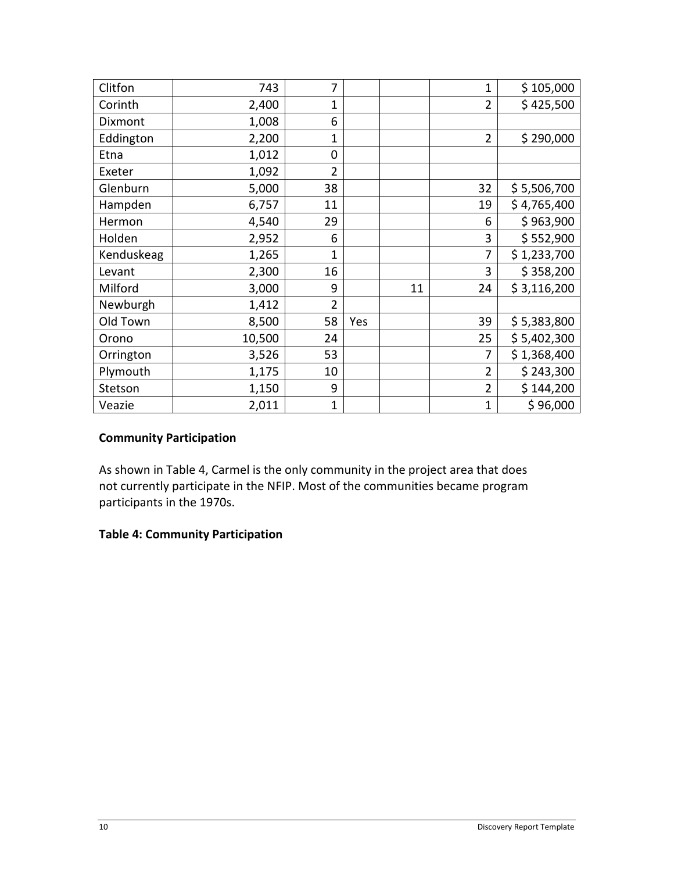| Clitfon    | 743    | 7              |     |    | $\overline{1}$ | \$105,000   |
|------------|--------|----------------|-----|----|----------------|-------------|
| Corinth    | 2,400  | 1              |     |    | $\overline{2}$ | \$425,500   |
| Dixmont    | 1,008  | 6              |     |    |                |             |
| Eddington  | 2,200  | 1              |     |    | $\overline{2}$ | \$290,000   |
| Etna       | 1,012  | $\mathbf 0$    |     |    |                |             |
| Exeter     | 1,092  | $\overline{2}$ |     |    |                |             |
| Glenburn   | 5,000  | 38             |     |    | 32             | \$5,506,700 |
| Hampden    | 6,757  | 11             |     |    | 19             | \$4,765,400 |
| Hermon     | 4,540  | 29             |     |    | 6              | \$963,900   |
| Holden     | 2,952  | 6              |     |    | 3              | \$552,900   |
| Kenduskeag | 1,265  | 1              |     |    | 7              | \$1,233,700 |
| Levant     | 2,300  | 16             |     |    | 3              | \$358,200   |
| Milford    | 3,000  | 9              |     | 11 | 24             | \$3,116,200 |
| Newburgh   | 1,412  | $\overline{2}$ |     |    |                |             |
| Old Town   | 8,500  | 58             | Yes |    | 39             | \$5,383,800 |
| Orono      | 10,500 | 24             |     |    | 25             | \$5,402,300 |
| Orrington  | 3,526  | 53             |     |    | 7              | \$1,368,400 |
| Plymouth   | 1,175  | 10             |     |    | $\overline{2}$ | \$243,300   |
| Stetson    | 1,150  | 9              |     |    | $\overline{2}$ | \$144,200   |
| Veazie     | 2,011  | 1              |     |    | $\overline{1}$ | \$96,000    |

## **Community Participation**

As shown in Table 4, Carmel is the only community in the project area that does not currently participate in the NFIP. Most of the communities became program participants in the 1970s.

## **Table 4: Community Participation**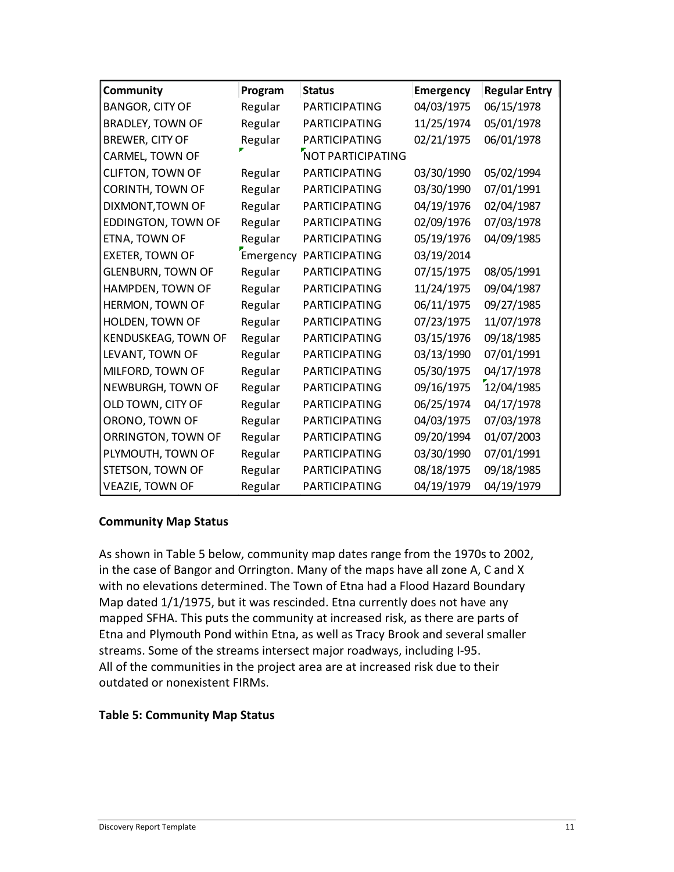| Community                 | Program   | <b>Status</b>        | <b>Emergency</b> | <b>Regular Entry</b> |
|---------------------------|-----------|----------------------|------------------|----------------------|
| <b>BANGOR, CITY OF</b>    | Regular   | PARTICIPATING        | 04/03/1975       | 06/15/1978           |
| <b>BRADLEY, TOWN OF</b>   | Regular   | PARTICIPATING        | 11/25/1974       | 05/01/1978           |
| <b>BREWER, CITY OF</b>    | Regular   | <b>PARTICIPATING</b> | 02/21/1975       | 06/01/1978           |
| CARMEL, TOWN OF           |           | NOT PARTICIPATING    |                  |                      |
| CLIFTON, TOWN OF          | Regular   | <b>PARTICIPATING</b> | 03/30/1990       | 05/02/1994           |
| <b>CORINTH, TOWN OF</b>   | Regular   | PARTICIPATING        | 03/30/1990       | 07/01/1991           |
| DIXMONT, TOWN OF          | Regular   | <b>PARTICIPATING</b> | 04/19/1976       | 02/04/1987           |
| <b>EDDINGTON, TOWN OF</b> | Regular   | <b>PARTICIPATING</b> | 02/09/1976       | 07/03/1978           |
| ETNA, TOWN OF             | Regular   | PARTICIPATING        | 05/19/1976       | 04/09/1985           |
| <b>EXETER, TOWN OF</b>    | Emergency | PARTICIPATING        | 03/19/2014       |                      |
| <b>GLENBURN, TOWN OF</b>  | Regular   | <b>PARTICIPATING</b> | 07/15/1975       | 08/05/1991           |
| HAMPDEN, TOWN OF          | Regular   | PARTICIPATING        | 11/24/1975       | 09/04/1987           |
| HERMON, TOWN OF           | Regular   | <b>PARTICIPATING</b> | 06/11/1975       | 09/27/1985           |
| HOLDEN, TOWN OF           | Regular   | PARTICIPATING        | 07/23/1975       | 11/07/1978           |
| KENDUSKEAG, TOWN OF       | Regular   | <b>PARTICIPATING</b> | 03/15/1976       | 09/18/1985           |
| LEVANT, TOWN OF           | Regular   | <b>PARTICIPATING</b> | 03/13/1990       | 07/01/1991           |
| MILFORD, TOWN OF          | Regular   | PARTICIPATING        | 05/30/1975       | 04/17/1978           |
| NEWBURGH, TOWN OF         | Regular   | <b>PARTICIPATING</b> | 09/16/1975       | 12/04/1985           |
| OLD TOWN, CITY OF         | Regular   | PARTICIPATING        | 06/25/1974       | 04/17/1978           |
| ORONO, TOWN OF            | Regular   | <b>PARTICIPATING</b> | 04/03/1975       | 07/03/1978           |
| ORRINGTON, TOWN OF        | Regular   | PARTICIPATING        | 09/20/1994       | 01/07/2003           |
| PLYMOUTH, TOWN OF         | Regular   | PARTICIPATING        | 03/30/1990       | 07/01/1991           |
| STETSON, TOWN OF          | Regular   | <b>PARTICIPATING</b> | 08/18/1975       | 09/18/1985           |
| <b>VEAZIE, TOWN OF</b>    | Regular   | PARTICIPATING        | 04/19/1979       | 04/19/1979           |

#### **Community Map Status**

As shown in Table 5 below, community map dates range from the 1970s to 2002, in the case of Bangor and Orrington. Many of the maps have all zone A, C and X with no elevations determined. The Town of Etna had a Flood Hazard Boundary Map dated 1/1/1975, but it was rescinded. Etna currently does not have any mapped SFHA. This puts the community at increased risk, as there are parts of Etna and Plymouth Pond within Etna, as well as Tracy Brook and several smaller streams. Some of the streams intersect major roadways, including I-95. All of the communities in the project area are at increased risk due to their outdated or nonexistent FIRMs.

#### **Table 5: Community Map Status**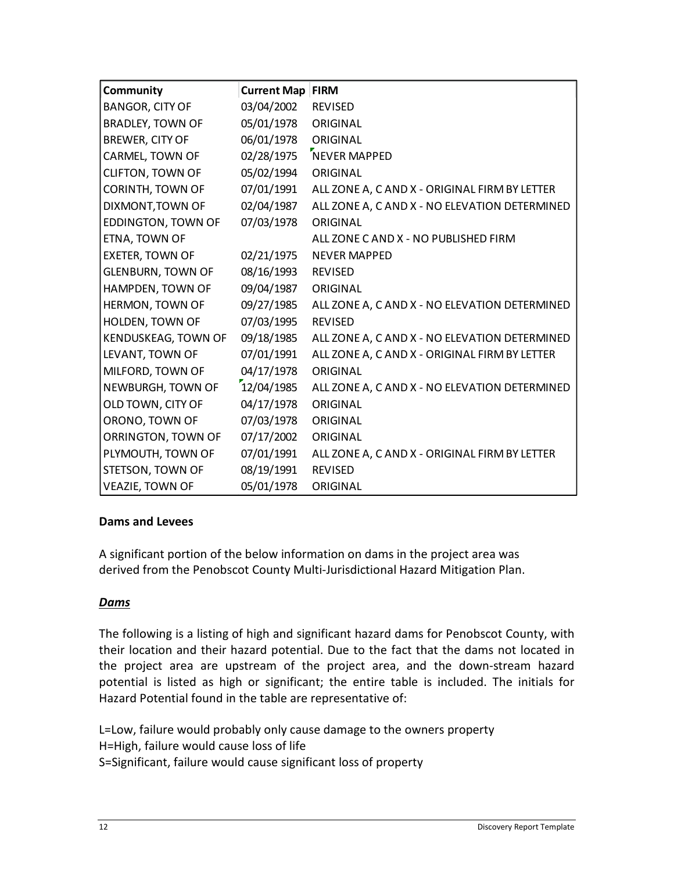| Community                  | <b>Current Map</b> | <b>FIRM</b>                                   |
|----------------------------|--------------------|-----------------------------------------------|
| <b>BANGOR, CITY OF</b>     | 03/04/2002         | <b>REVISED</b>                                |
| <b>BRADLEY, TOWN OF</b>    | 05/01/1978         | ORIGINAL                                      |
| BREWER, CITY OF            | 06/01/1978         | ORIGINAL                                      |
| <b>CARMEL, TOWN OF</b>     | 02/28/1975         | NEVER MAPPED                                  |
| <b>CLIFTON, TOWN OF</b>    | 05/02/1994         | ORIGINAL                                      |
| CORINTH, TOWN OF           | 07/01/1991         | ALL ZONE A, C AND X - ORIGINAL FIRM BY LETTER |
| DIXMONT, TOWN OF           | 02/04/1987         | ALL ZONE A, C AND X - NO ELEVATION DETERMINED |
| <b>EDDINGTON, TOWN OF</b>  | 07/03/1978         | ORIGINAL                                      |
| ETNA, TOWN OF              |                    | ALL ZONE CAND X - NO PUBLISHED FIRM           |
| <b>EXETER, TOWN OF</b>     | 02/21/1975         | <b>NEVER MAPPED</b>                           |
| <b>GLENBURN, TOWN OF</b>   | 08/16/1993         | <b>REVISED</b>                                |
| HAMPDEN, TOWN OF           | 09/04/1987         | ORIGINAL                                      |
| HERMON, TOWN OF            | 09/27/1985         | ALL ZONE A, C AND X - NO ELEVATION DETERMINED |
| HOLDEN, TOWN OF            | 07/03/1995         | <b>REVISED</b>                                |
| <b>KENDUSKEAG, TOWN OF</b> | 09/18/1985         | ALL ZONE A, C AND X - NO ELEVATION DETERMINED |
| LEVANT, TOWN OF            | 07/01/1991         | ALL ZONE A, C AND X - ORIGINAL FIRM BY LETTER |
| MILFORD, TOWN OF           | 04/17/1978         | ORIGINAL                                      |
| NEWBURGH, TOWN OF          | 12/04/1985         | ALL ZONE A, C AND X - NO ELEVATION DETERMINED |
| OLD TOWN, CITY OF          | 04/17/1978         | ORIGINAL                                      |
| ORONO, TOWN OF             | 07/03/1978         | ORIGINAL                                      |
| ORRINGTON, TOWN OF         | 07/17/2002         | ORIGINAL                                      |
| PLYMOUTH, TOWN OF          | 07/01/1991         | ALL ZONE A, C AND X - ORIGINAL FIRM BY LETTER |
| STETSON, TOWN OF           | 08/19/1991         | <b>REVISED</b>                                |
| <b>VEAZIE, TOWN OF</b>     | 05/01/1978         | ORIGINAL                                      |

#### **Dams and Levees**

A significant portion of the below information on dams in the project area was derived from the Penobscot County Multi-Jurisdictional Hazard Mitigation Plan.

## *Dams*

The following is a listing of high and significant hazard dams for Penobscot County, with their location and their hazard potential. Due to the fact that the dams not located in the project area are upstream of the project area, and the down-stream hazard potential is listed as high or significant; the entire table is included. The initials for Hazard Potential found in the table are representative of:

L=Low, failure would probably only cause damage to the owners property H=High, failure would cause loss of life S=Significant, failure would cause significant loss of property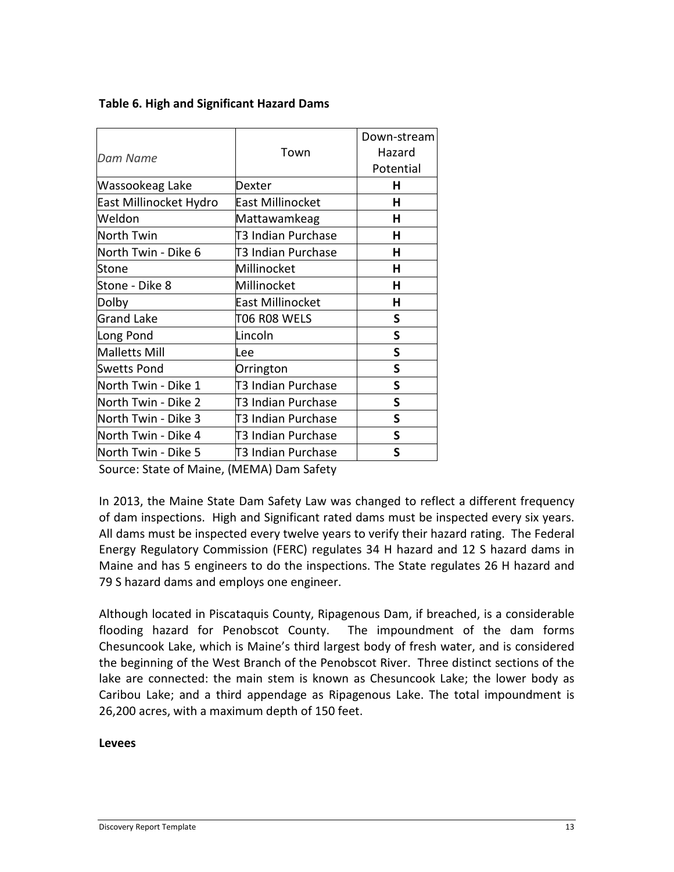|                        | Town                    | Down-stream<br>Hazard |
|------------------------|-------------------------|-----------------------|
| Dam Name               |                         | Potential             |
| Wassookeag Lake        | Dexter                  | н                     |
| East Millinocket Hydro | <b>East Millinocket</b> | н                     |
| Weldon                 | Mattawamkeag            | н                     |
| North Twin             | T3 Indian Purchase      | н                     |
| North Twin - Dike 6    | T3 Indian Purchase      | н                     |
| Stone                  | Millinocket             | н                     |
| Stone - Dike 8         | Millinocket             | н                     |
| Dolby                  | <b>East Millinocket</b> | Н                     |
| <b>Grand Lake</b>      | T06 R08 WELS            | S                     |
| Long Pond              | Lincoln                 | S                     |
| Malletts Mill          | Lee                     | S                     |
| <b>Swetts Pond</b>     | Orrington               | S                     |
| North Twin - Dike 1    | T3 Indian Purchase      | S                     |
| North Twin - Dike 2    | T3 Indian Purchase      | S                     |
| North Twin - Dike 3    | T3 Indian Purchase      | S                     |
| North Twin - Dike 4    | T3 Indian Purchase      | S                     |
| North Twin - Dike 5    | T3 Indian Purchase      | S                     |

#### **Table 6. High and Significant Hazard Dams**

Source: State of Maine, (MEMA) Dam Safety

In 2013, the Maine State Dam Safety Law was changed to reflect a different frequency of dam inspections. High and Significant rated dams must be inspected every six years. All dams must be inspected every twelve years to verify their hazard rating. The Federal Energy Regulatory Commission (FERC) regulates 34 H hazard and 12 S hazard dams in Maine and has 5 engineers to do the inspections. The State regulates 26 H hazard and 79 S hazard dams and employs one engineer.

Although located in Piscataquis County, Ripagenous Dam, if breached, is a considerable flooding hazard for Penobscot County. The impoundment of the dam forms Chesuncook Lake, which is Maine's third largest body of fresh water, and is considered the beginning of the West Branch of the Penobscot River. Three distinct sections of the lake are connected: the main stem is known as Chesuncook Lake; the lower body as Caribou Lake; and a third appendage as Ripagenous Lake. The total impoundment is 26,200 acres, with a maximum depth of 150 feet.

#### **Levees**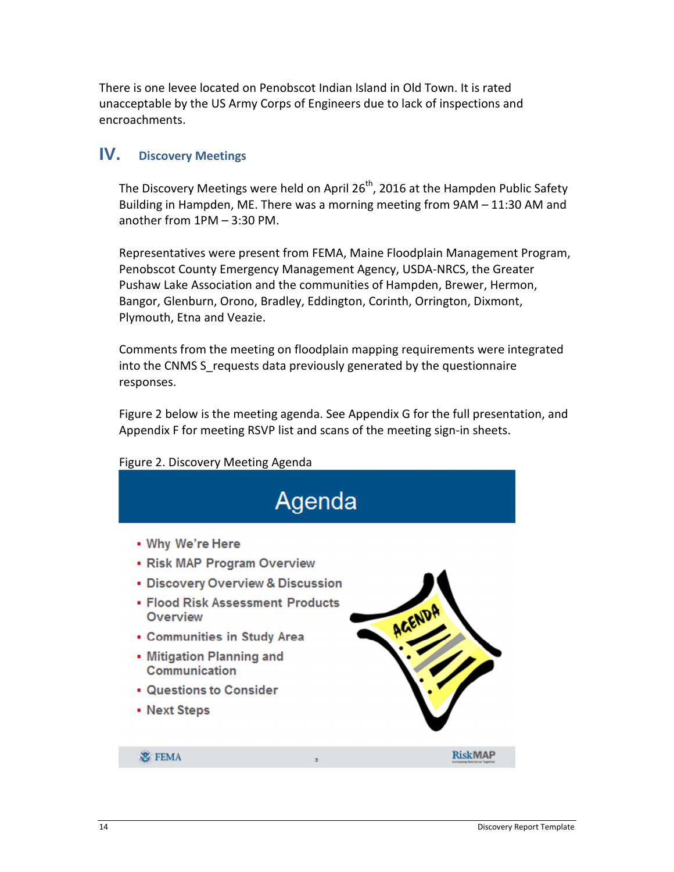There is one levee located on Penobscot Indian Island in Old Town. It is rated unacceptable by the US Army Corps of Engineers due to lack of inspections and encroachments.

# **IV. Discovery Meetings**

The Discovery Meetings were held on April  $26<sup>th</sup>$ , 2016 at the Hampden Public Safety Building in Hampden, ME. There was a morning meeting from 9AM – 11:30 AM and another from 1PM – 3:30 PM.

Representatives were present from FEMA, Maine Floodplain Management Program, Penobscot County Emergency Management Agency, USDA-NRCS, the Greater Pushaw Lake Association and the communities of Hampden, Brewer, Hermon, Bangor, Glenburn, Orono, Bradley, Eddington, Corinth, Orrington, Dixmont, Plymouth, Etna and Veazie.

Comments from the meeting on floodplain mapping requirements were integrated into the CNMS S\_requests data previously generated by the questionnaire responses.

Figure 2 below is the meeting agenda. See Appendix G for the full presentation, and Appendix F for meeting RSVP list and scans of the meeting sign-in sheets.

#### Figure 2. Discovery Meeting Agenda